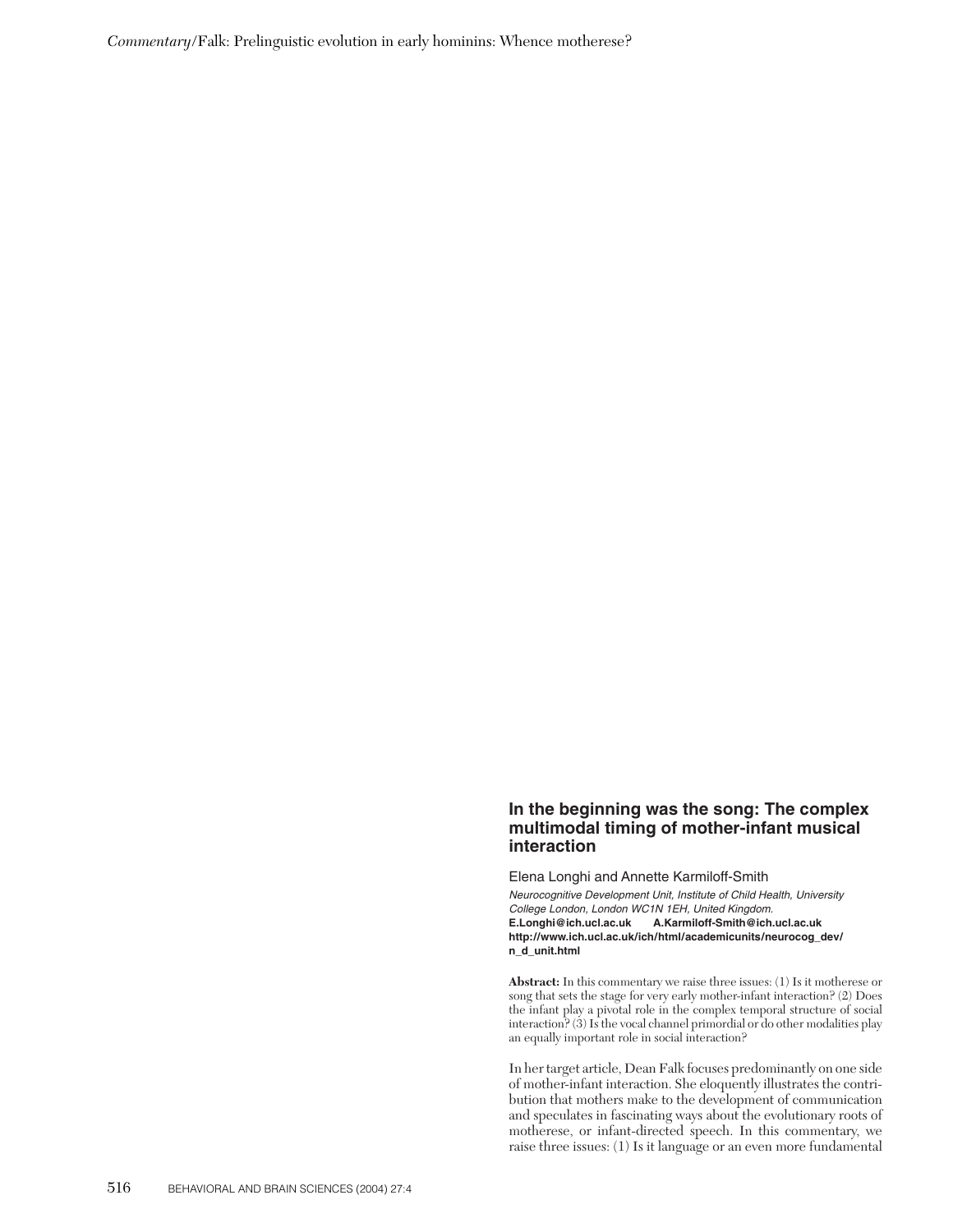## **In the beginning was the song: The complex multimodal timing of mother-infant musical interaction**

Elena Longhi and Annette Karmiloff-Smith

*Neurocognitive Development Unit, Institute of Child Health, University College London, London WC1N 1EH, United Kingdom.* **E.Longhi@ich.ucl.ac.uk A.Karmiloff-Smith@ich.ucl.ac.uk http://www.ich.ucl.ac.uk/ich/html/academicunits/neurocog\_dev/ n\_d\_unit.html**

**Abstract:** In this commentary we raise three issues: (1) Is it motherese or song that sets the stage for very early mother-infant interaction? (2) Does the infant play a pivotal role in the complex temporal structure of social interaction? (3) Is the vocal channel primordial or do other modalities play an equally important role in social interaction?

In her target article, Dean Falk focuses predominantly on one side of mother-infant interaction. She eloquently illustrates the contribution that mothers make to the development of communication and speculates in fascinating ways about the evolutionary roots of motherese, or infant-directed speech. In this commentary, we raise three issues: (1) Is it language or an even more fundamental